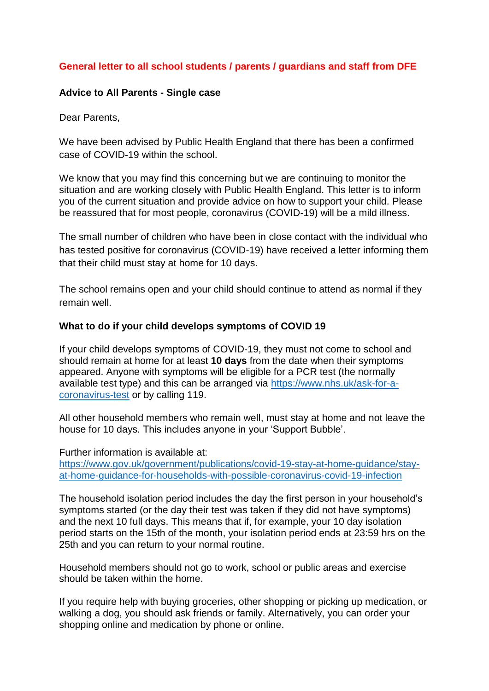# **General letter to all school students / parents / guardians and staff from DFE**

### **Advice to All Parents - Single case**

Dear Parents,

We have been advised by Public Health England that there has been a confirmed case of COVID-19 within the school.

We know that you may find this concerning but we are continuing to monitor the situation and are working closely with Public Health England. This letter is to inform you of the current situation and provide advice on how to support your child. Please be reassured that for most people, coronavirus (COVID-19) will be a mild illness.

The small number of children who have been in close contact with the individual who has tested positive for coronavirus (COVID-19) have received a letter informing them that their child must stay at home for 10 days.

The school remains open and your child should continue to attend as normal if they remain well.

#### **What to do if your child develops symptoms of COVID 19**

If your child develops symptoms of COVID-19, they must not come to school and should remain at home for at least **10 days** from the date when their symptoms appeared. Anyone with symptoms will be eligible for a PCR test (the normally available test type) and this can be arranged via [https://www.nhs.uk/ask-for-a](https://www.nhs.uk/ask-for-a-coronavirus-test)[coronavirus-test](https://www.nhs.uk/ask-for-a-coronavirus-test) or by calling 119.

All other household members who remain well, must stay at home and not leave the house for 10 days. This includes anyone in your 'Support Bubble'.

Further information is available at: [https://www.gov.uk/government/publications/covid-19-stay-at-home-guidance/stay](https://www.gov.uk/government/publications/covid-19-stay-at-home-guidance/stay-at-home-guidance-for-households-with-possible-coronavirus-covid-19-infection)[at-home-guidance-for-households-with-possible-coronavirus-covid-19-infection](https://www.gov.uk/government/publications/covid-19-stay-at-home-guidance/stay-at-home-guidance-for-households-with-possible-coronavirus-covid-19-infection)

The household isolation period includes the day the first person in your household's symptoms started (or the day their test was taken if they did not have symptoms) and the next 10 full days. This means that if, for example, your 10 day isolation period starts on the 15th of the month, your isolation period ends at 23:59 hrs on the 25th and you can return to your normal routine.

Household members should not go to work, school or public areas and exercise should be taken within the home.

If you require help with buying groceries, other shopping or picking up medication, or walking a dog, you should ask friends or family. Alternatively, you can order your shopping online and medication by phone or online.